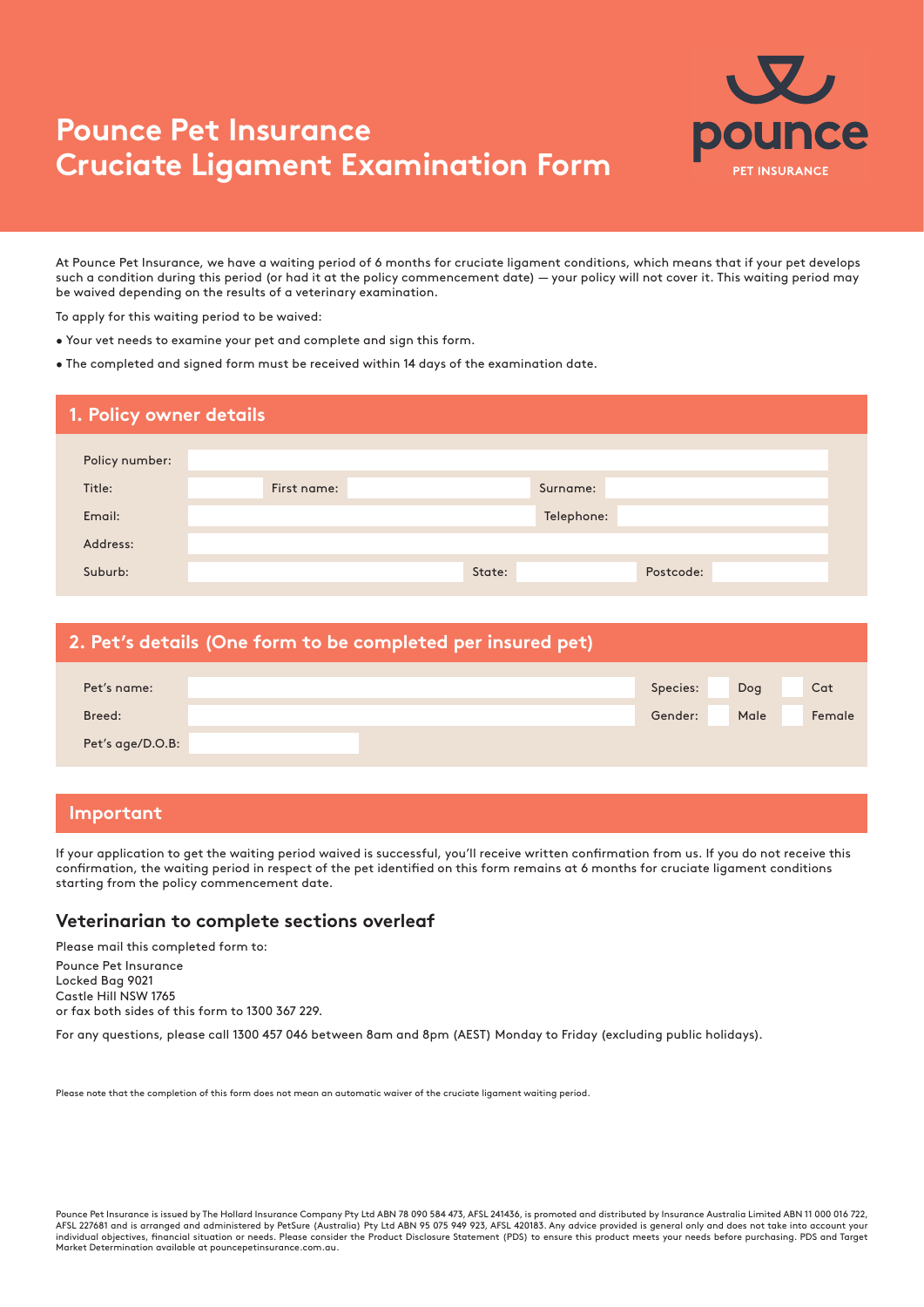# **Pounce Pet Insurance Cruciate Ligament Examination Form**



At Pounce Pet Insurance, we have a waiting period of 6 months for cruciate ligament conditions, which means that if your pet develops such a condition during this period (or had it at the policy commencement date) — your policy will not cover it. This waiting period may be waived depending on the results of a veterinary examination.

To apply for this waiting period to be waived:

- Your vet needs to examine your pet and complete and sign this form.
- The completed and signed form must be received within 14 days of the examination date.

| 1. Policy owner details |             |        |            |  |
|-------------------------|-------------|--------|------------|--|
| Policy number:          |             |        |            |  |
| Title:                  | First name: |        | Surname:   |  |
| Email:                  |             |        | Telephone: |  |
| Address:                |             |        |            |  |
| Suburb:                 |             | State: | Postcode:  |  |

| 2. Pet's details (One form to be completed per insured pet) |  |          |      |        |  |  |
|-------------------------------------------------------------|--|----------|------|--------|--|--|
| Pet's name:                                                 |  | Species: | Dog  | Cat    |  |  |
| Breed:                                                      |  | Gender:  | Male | Female |  |  |
| Pet's age/D.O.B:                                            |  |          |      |        |  |  |

### **Important**

If your application to get the waiting period waived is successful, you'll receive written confirmation from us. If you do not receive this confirmation, the waiting period in respect of the pet identified on this form remains at 6 months for cruciate ligament conditions starting from the policy commencement date.

#### **Veterinarian to complete sections overleaf**

Please mail this completed form to: Pounce Pet Insurance Locked Bag 9021 Castle Hill NSW 1765 or fax both sides of this form to 1300 367 229.

For any questions, please call 1300 457 046 between 8am and 8pm (AEST) Monday to Friday (excluding public holidays).

Please note that the completion of this form does not mean an automatic waiver of the cruciate ligament waiting period.

Pounce Pet Insurance is issued by The Hollard Insurance Company Pty Ltd ABN 78 090 584 473, AFSL 241436, is promoted and distributed by Insurance Australia Limited ABN 11 000 016 722, AFSL 227681 and is arranged and administered by PetSure (Australia) Pty Ltd ABN 95 075 949 923, AFSL 420183. Any advice provided is general only and does not take into account your<br>individual objectives, financial situatio Market Determination available at pouncepetinsurance.com.au.